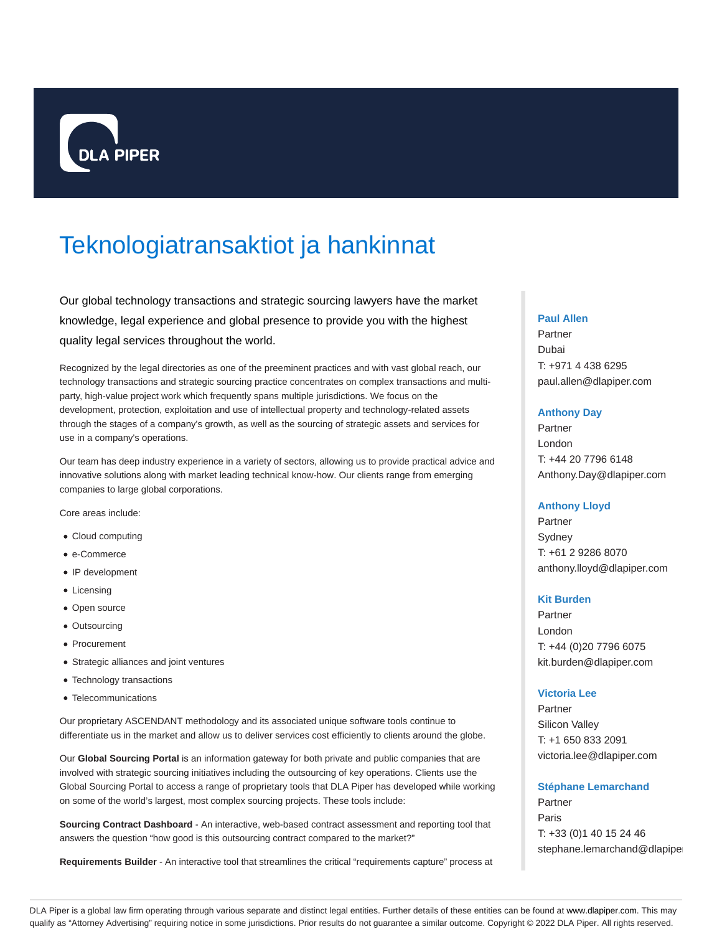

# Teknologiatransaktiot ja hankinnat

Our global technology transactions and strategic sourcing lawyers have the market knowledge, legal experience and global presence to provide you with the highest quality legal services throughout the world.

Recognized by the legal directories as one of the preeminent practices and with vast global reach, our technology transactions and strategic sourcing practice concentrates on complex transactions and multiparty, high-value project work which frequently spans multiple jurisdictions. We focus on the development, protection, exploitation and use of intellectual property and technology-related assets through the stages of a company's growth, as well as the sourcing of strategic assets and services for use in a company's operations.

Our team has deep industry experience in a variety of sectors, allowing us to provide practical advice and innovative solutions along with market leading technical know-how. Our clients range from emerging companies to large global corporations.

Core areas include:

- Cloud computing
- e-Commerce
- IP development
- Licensing
- Open source
- Outsourcing
- Procurement
- Strategic alliances and joint ventures
- Technology transactions
- Telecommunications

Our proprietary ASCENDANT methodology and its associated unique software tools continue to differentiate us in the market and allow us to deliver services cost efficiently to clients around the globe.

Our **Global Sourcing Portal** is an information gateway for both private and public companies that are involved with strategic sourcing initiatives including the outsourcing of key operations. Clients use the Global Sourcing Portal to access a range of proprietary tools that DLA Piper has developed while working on some of the world's largest, most complex sourcing projects. These tools include:

**Sourcing Contract Dashboard** - An interactive, web-based contract assessment and reporting tool that answers the question "how good is this outsourcing contract compared to the market?"

**Requirements Builder** - An interactive tool that streamlines the critical "requirements capture" process at

#### **Paul Allen**

Partner Dubai T: +971 4 438 6295 paul.allen@dlapiper.com

#### **Anthony Day**

Partner London T: +44 20 7796 6148 Anthony.Day@dlapiper.com

## **Anthony Lloyd**

Partner Sydney T: +61 2 9286 8070 anthony.lloyd@dlapiper.com

## **Kit Burden**

Partner London T: +44 (0)20 7796 6075 kit.burden@dlapiper.com

## **Victoria Lee**

Partner Silicon Valley T: +1 650 833 2091 victoria.lee@dlapiper.com

#### **Stéphane Lemarchand**

Partner Paris T: +33 (0)1 40 15 24 46 stephane.lemarchand@dlapipe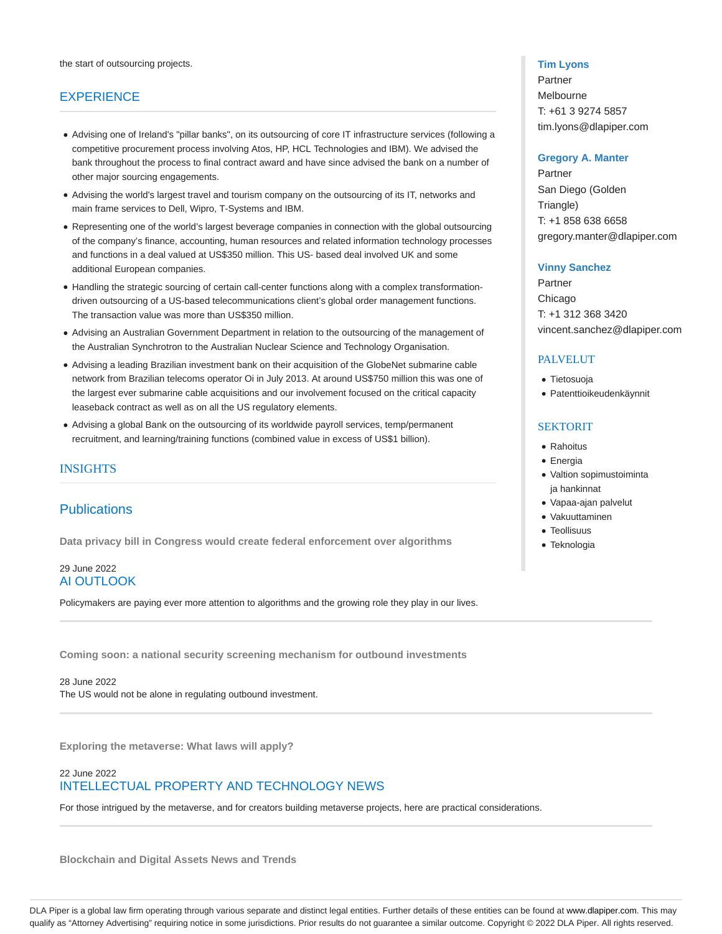# **EXPERIENCE**

- Advising one of Ireland's "pillar banks", on its outsourcing of core IT infrastructure services (following a competitive procurement process involving Atos, HP, HCL Technologies and IBM). We advised the bank throughout the process to final contract award and have since advised the bank on a number of other major sourcing engagements.
- Advising the world's largest travel and tourism company on the outsourcing of its IT, networks and main frame services to Dell, Wipro, T-Systems and IBM.
- Representing one of the world's largest beverage companies in connection with the global outsourcing of the company's finance, accounting, human resources and related information technology processes and functions in a deal valued at US\$350 million. This US- based deal involved UK and some additional European companies.
- Handling the strategic sourcing of certain call-center functions along with a complex transformationdriven outsourcing of a US-based telecommunications client's global order management functions. The transaction value was more than US\$350 million.
- Advising an Australian Government Department in relation to the outsourcing of the management of the Australian Synchrotron to the Australian Nuclear Science and Technology Organisation.
- Advising a leading Brazilian investment bank on their acquisition of the GlobeNet submarine cable network from Brazilian telecoms operator Oi in July 2013. At around US\$750 million this was one of the largest ever submarine cable acquisitions and our involvement focused on the critical capacity leaseback contract as well as on all the US regulatory elements.
- Advising a global Bank on the outsourcing of its worldwide payroll services, temp/permanent recruitment, and learning/training functions (combined value in excess of US\$1 billion).

# INSIGHTS

# **Publications**

**Data privacy bill in Congress would create federal enforcement over algorithms**

## 29 June 2022 AI OUTLOOK

Policymakers are paying ever more attention to algorithms and the growing role they play in our lives.

**Coming soon: a national security screening mechanism for outbound investments**

28 June 2022 The US would not be alone in regulating outbound investment.

**Exploring the metaverse: What laws will apply?**

# 22 June 2022 INTELLECTUAL PROPERTY AND TECHNOLOGY NEWS

For those intrigued by the metaverse, and for creators building metaverse projects, here are practical considerations.

**Blockchain and Digital Assets News and Trends**

## **Tim Lyons**

Partner Melbourne T: +61 3 9274 5857 tim.lyons@dlapiper.com

#### **Gregory A. Manter**

Partner San Diego (Golden Triangle) T: +1 858 638 6658 gregory.manter@dlapiper.com

#### **Vinny Sanchez**

Partner Chicago T: +1 312 368 3420 vincent.sanchez@dlapiper.com

# PALVELUT

- Tietosuoja
- Patenttioikeudenkäynnit

## **SEKTORIT**

- Rahoitus
- Energia
- Valtion sopimustoiminta ja hankinnat
- Vapaa-ajan palvelut
- Vakuuttaminen
- **Teollisuus**
- Teknologia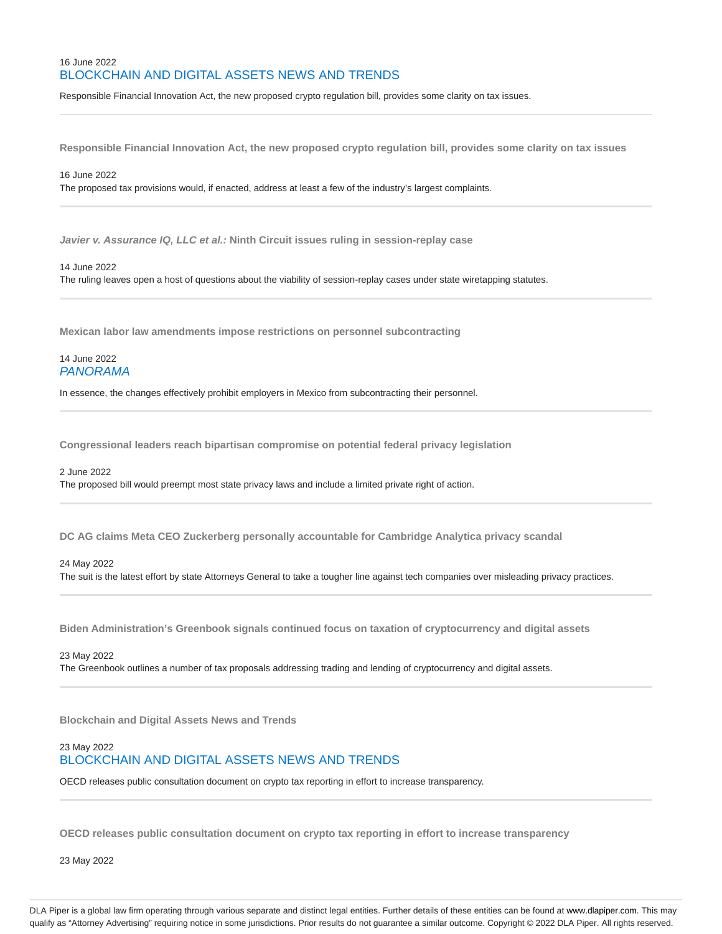# 16 June 2022 BLOCKCHAIN AND DIGITAL ASSETS NEWS AND TRENDS

Responsible Financial Innovation Act, the new proposed crypto regulation bill, provides some clarity on tax issues.

**Responsible Financial Innovation Act, the new proposed crypto regulation bill, provides some clarity on tax issues**

### 16 June 2022

The proposed tax provisions would, if enacted, address at least a few of the industry's largest complaints.

**Javier v. Assurance IQ, LLC et al.: Ninth Circuit issues ruling in session-replay case**

#### 14 June 2022

The ruling leaves open a host of questions about the viability of session-replay cases under state wiretapping statutes.

**Mexican labor law amendments impose restrictions on personnel subcontracting**

## 14 June 2022 PANORAMA

In essence, the changes effectively prohibit employers in Mexico from subcontracting their personnel.

**Congressional leaders reach bipartisan compromise on potential federal privacy legislation**

#### 2 June 2022

The proposed bill would preempt most state privacy laws and include a limited private right of action.

**DC AG claims Meta CEO Zuckerberg personally accountable for Cambridge Analytica privacy scandal**

### 24 May 2022

The suit is the latest effort by state Attorneys General to take a tougher line against tech companies over misleading privacy practices.

**Biden Administration's Greenbook signals continued focus on taxation of cryptocurrency and digital assets**

23 May 2022 The Greenbook outlines a number of tax proposals addressing trading and lending of cryptocurrency and digital assets.

**Blockchain and Digital Assets News and Trends**

## 23 May 2022 BLOCKCHAIN AND DIGITAL ASSETS NEWS AND TRENDS

OECD releases public consultation document on crypto tax reporting in effort to increase transparency.

**OECD releases public consultation document on crypto tax reporting in effort to increase transparency**

23 May 2022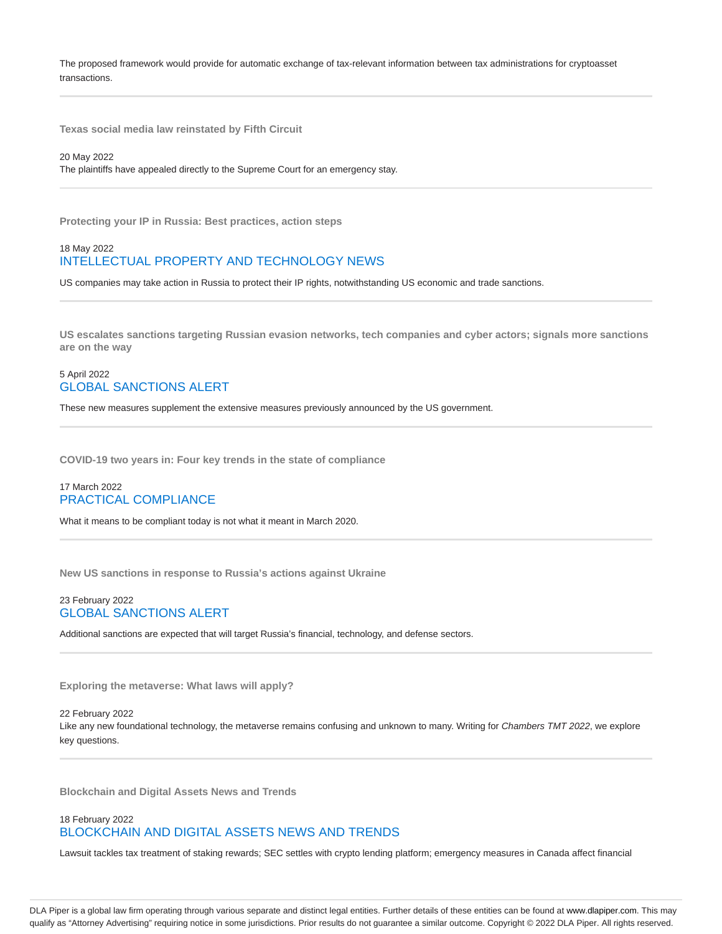The proposed framework would provide for automatic exchange of tax-relevant information between tax administrations for cryptoasset transactions.

**Texas social media law reinstated by Fifth Circuit**

20 May 2022

The plaintiffs have appealed directly to the Supreme Court for an emergency stay.

**Protecting your IP in Russia: Best practices, action steps**

## 18 May 2022 INTELLECTUAL PROPERTY AND TECHNOLOGY NEWS

US companies may take action in Russia to protect their IP rights, notwithstanding US economic and trade sanctions.

**US escalates sanctions targeting Russian evasion networks, tech companies and cyber actors; signals more sanctions are on the way**

## 5 April 2022 GLOBAL SANCTIONS ALERT

These new measures supplement the extensive measures previously announced by the US government.

**COVID-19 two years in: Four key trends in the state of compliance**

## 17 March 2022 PRACTICAL COMPLIANCE

What it means to be compliant today is not what it meant in March 2020.

**New US sanctions in response to Russia's actions against Ukraine**

## 23 February 2022 GLOBAL SANCTIONS ALERT

Additional sanctions are expected that will target Russia's financial, technology, and defense sectors.

**Exploring the metaverse: What laws will apply?**

#### 22 February 2022

Like any new foundational technology, the metaverse remains confusing and unknown to many. Writing for Chambers TMT 2022, we explore key questions.

**Blockchain and Digital Assets News and Trends**

# 18 February 2022

# BLOCKCHAIN AND DIGITAL ASSETS NEWS AND TRENDS

Lawsuit tackles tax treatment of staking rewards; SEC settles with crypto lending platform; emergency measures in Canada affect financial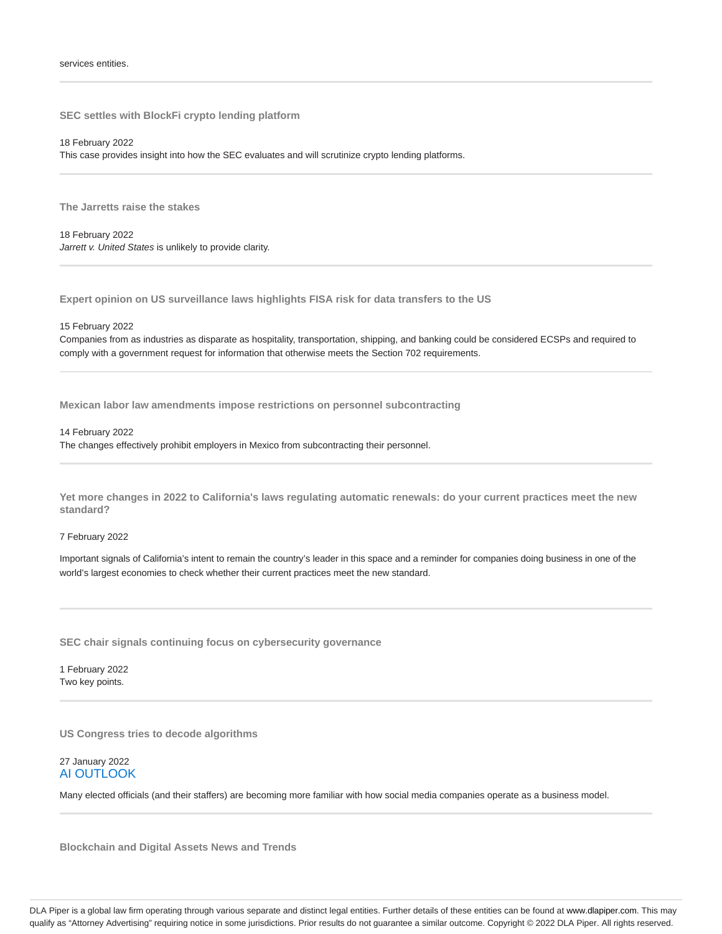**SEC settles with BlockFi crypto lending platform**

18 February 2022 This case provides insight into how the SEC evaluates and will scrutinize crypto lending platforms.

**The Jarretts raise the stakes**

18 February 2022 Jarrett v. United States is unlikely to provide clarity.

**Expert opinion on US surveillance laws highlights FISA risk for data transfers to the US**

#### 15 February 2022

Companies from as industries as disparate as hospitality, transportation, shipping, and banking could be considered ECSPs and required to comply with a government request for information that otherwise meets the Section 702 requirements.

**Mexican labor law amendments impose restrictions on personnel subcontracting**

14 February 2022

The changes effectively prohibit employers in Mexico from subcontracting their personnel.

**Yet more changes in 2022 to California's laws regulating automatic renewals: do your current practices meet the new standard?**

#### 7 February 2022

Important signals of California's intent to remain the country's leader in this space and a reminder for companies doing business in one of the world's largest economies to check whether their current practices meet the new standard.

**SEC chair signals continuing focus on cybersecurity governance**

1 February 2022 Two key points.

**US Congress tries to decode algorithms**

27 January 2022 AI OUTLOOK

Many elected officials (and their staffers) are becoming more familiar with how social media companies operate as a business model.

**Blockchain and Digital Assets News and Trends**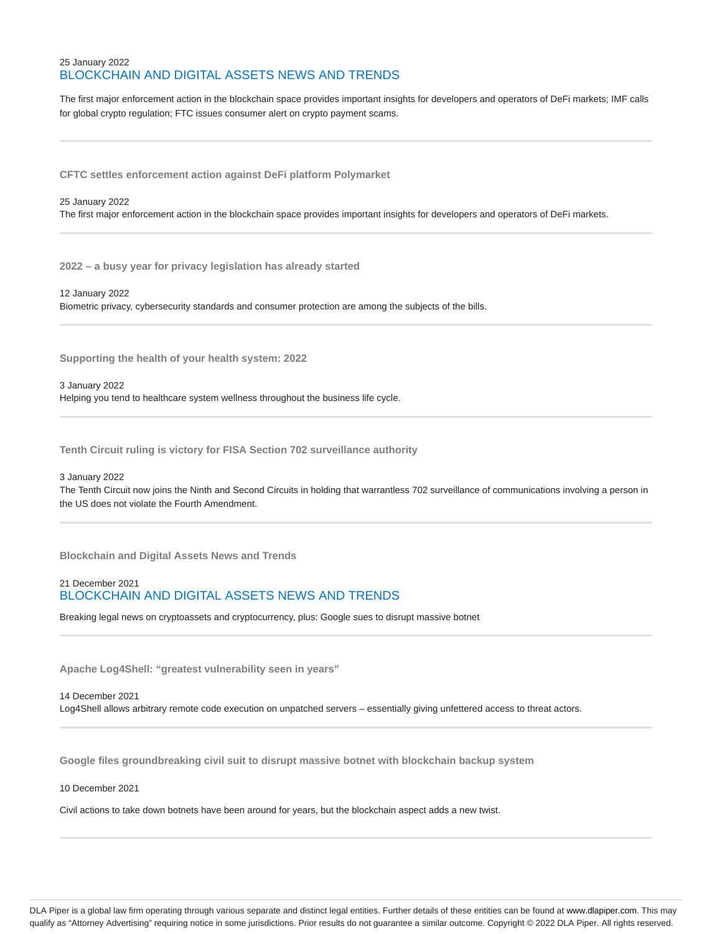# 25 January 2022 BLOCKCHAIN AND DIGITAL ASSETS NEWS AND TRENDS

The first major enforcement action in the blockchain space provides important insights for developers and operators of DeFi markets; IMF calls for global crypto regulation; FTC issues consumer alert on crypto payment scams.

**CFTC settles enforcement action against DeFi platform Polymarket**

#### 25 January 2022

The first major enforcement action in the blockchain space provides important insights for developers and operators of DeFi markets.

**2022 – a busy year for privacy legislation has already started**

12 January 2022 Biometric privacy, cybersecurity standards and consumer protection are among the subjects of the bills.

**Supporting the health of your health system: 2022**

3 January 2022 Helping you tend to healthcare system wellness throughout the business life cycle.

**Tenth Circuit ruling is victory for FISA Section 702 surveillance authority**

#### 3 January 2022

The Tenth Circuit now joins the Ninth and Second Circuits in holding that warrantless 702 surveillance of communications involving a person in the US does not violate the Fourth Amendment.

**Blockchain and Digital Assets News and Trends**

# 21 December 2021 BLOCKCHAIN AND DIGITAL ASSETS NEWS AND TRENDS

Breaking legal news on cryptoassets and cryptocurrency, plus: Google sues to disrupt massive botnet

**Apache Log4Shell: "greatest vulnerability seen in years"**

14 December 2021 Log4Shell allows arbitrary remote code execution on unpatched servers – essentially giving unfettered access to threat actors.

**Google files groundbreaking civil suit to disrupt massive botnet with blockchain backup system**

#### 10 December 2021

Civil actions to take down botnets have been around for years, but the blockchain aspect adds a new twist.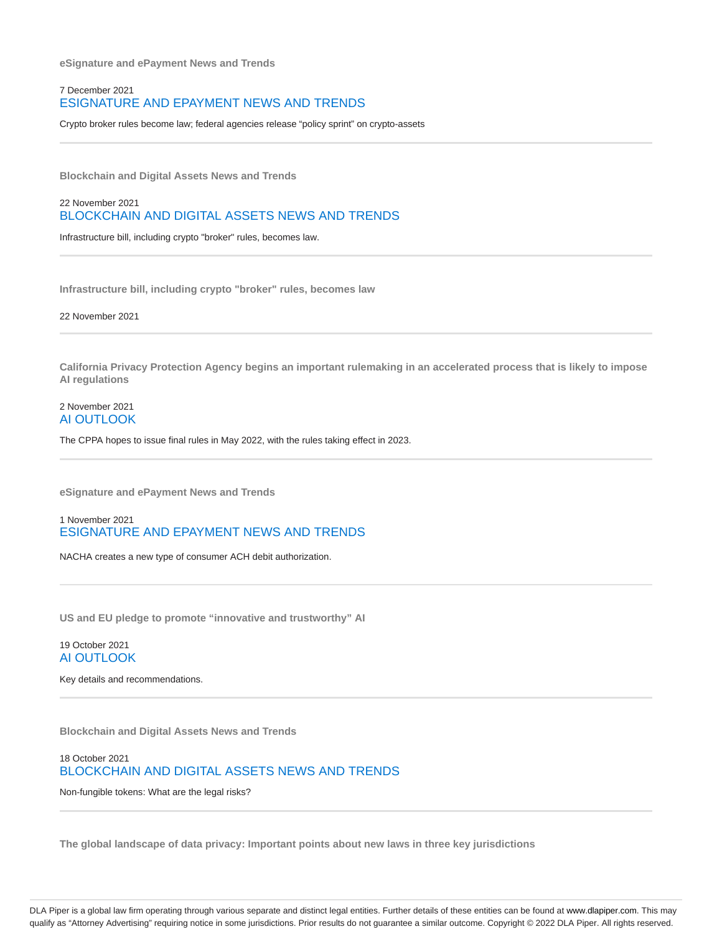**eSignature and ePayment News and Trends**

## 7 December 2021 ESIGNATURE AND EPAYMENT NEWS AND TRENDS

Crypto broker rules become law; federal agencies release "policy sprint" on crypto-assets

**Blockchain and Digital Assets News and Trends**

22 November 2021 BLOCKCHAIN AND DIGITAL ASSETS NEWS AND TRENDS

Infrastructure bill, including crypto "broker" rules, becomes law.

**Infrastructure bill, including crypto "broker" rules, becomes law**

22 November 2021

**California Privacy Protection Agency begins an important rulemaking in an accelerated process that is likely to impose AI regulations**

## 2 November 2021 AI OUTLOOK

The CPPA hopes to issue final rules in May 2022, with the rules taking effect in 2023.

**eSignature and ePayment News and Trends**

1 November 2021 ESIGNATURE AND EPAYMENT NEWS AND TRENDS

NACHA creates a new type of consumer ACH debit authorization.

**US and EU pledge to promote "innovative and trustworthy" AI**

## 19 October 2021 AI OUTLOOK

Key details and recommendations.

**Blockchain and Digital Assets News and Trends**

18 October 2021 BLOCKCHAIN AND DIGITAL ASSETS NEWS AND TRENDS

Non-fungible tokens: What are the legal risks?

**The global landscape of data privacy: Important points about new laws in three key jurisdictions**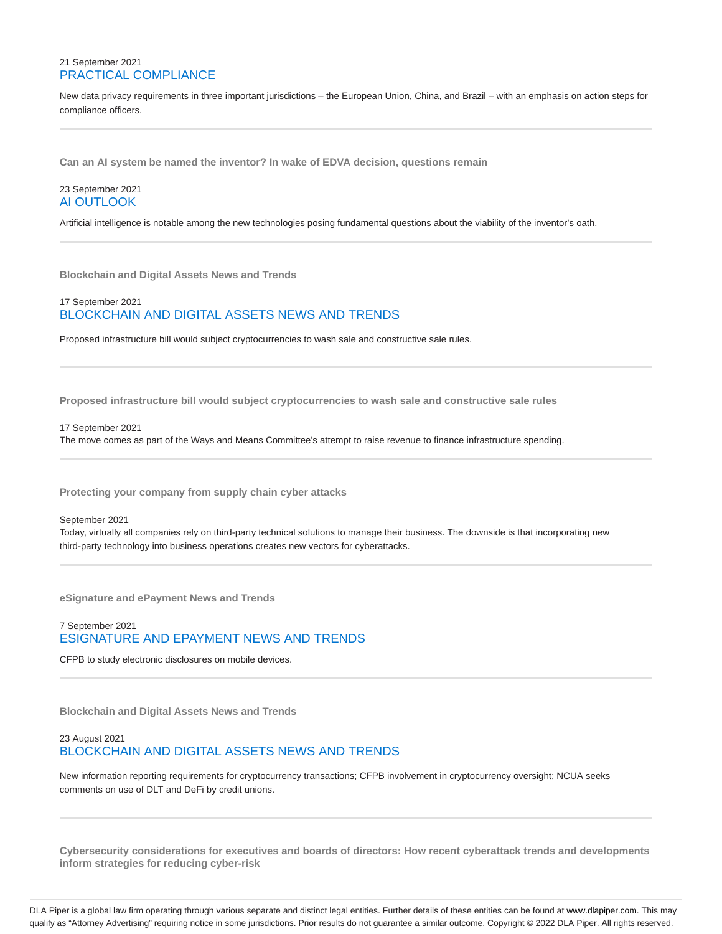## 21 September 2021 PRACTICAL COMPLIANCE

New data privacy requirements in three important jurisdictions – the European Union, China, and Brazil – with an emphasis on action steps for compliance officers.

**Can an AI system be named the inventor? In wake of EDVA decision, questions remain**

## 23 September 2021 AI OUTLOOK

Artificial intelligence is notable among the new technologies posing fundamental questions about the viability of the inventor's oath.

**Blockchain and Digital Assets News and Trends**

## 17 September 2021 BLOCKCHAIN AND DIGITAL ASSETS NEWS AND TRENDS

Proposed infrastructure bill would subject cryptocurrencies to wash sale and constructive sale rules.

**Proposed infrastructure bill would subject cryptocurrencies to wash sale and constructive sale rules**

17 September 2021

The move comes as part of the Ways and Means Committee's attempt to raise revenue to finance infrastructure spending.

**Protecting your company from supply chain cyber attacks**

#### September 2021

Today, virtually all companies rely on third-party technical solutions to manage their business. The downside is that incorporating new third-party technology into business operations creates new vectors for cyberattacks.

**eSignature and ePayment News and Trends**

# 7 September 2021 ESIGNATURE AND EPAYMENT NEWS AND TRENDS

CFPB to study electronic disclosures on mobile devices.

**Blockchain and Digital Assets News and Trends**

# 23 August 2021 BLOCKCHAIN AND DIGITAL ASSETS NEWS AND TRENDS

New information reporting requirements for cryptocurrency transactions; CFPB involvement in cryptocurrency oversight; NCUA seeks comments on use of DLT and DeFi by credit unions.

**Cybersecurity considerations for executives and boards of directors: How recent cyberattack trends and developments inform strategies for reducing cyber-risk**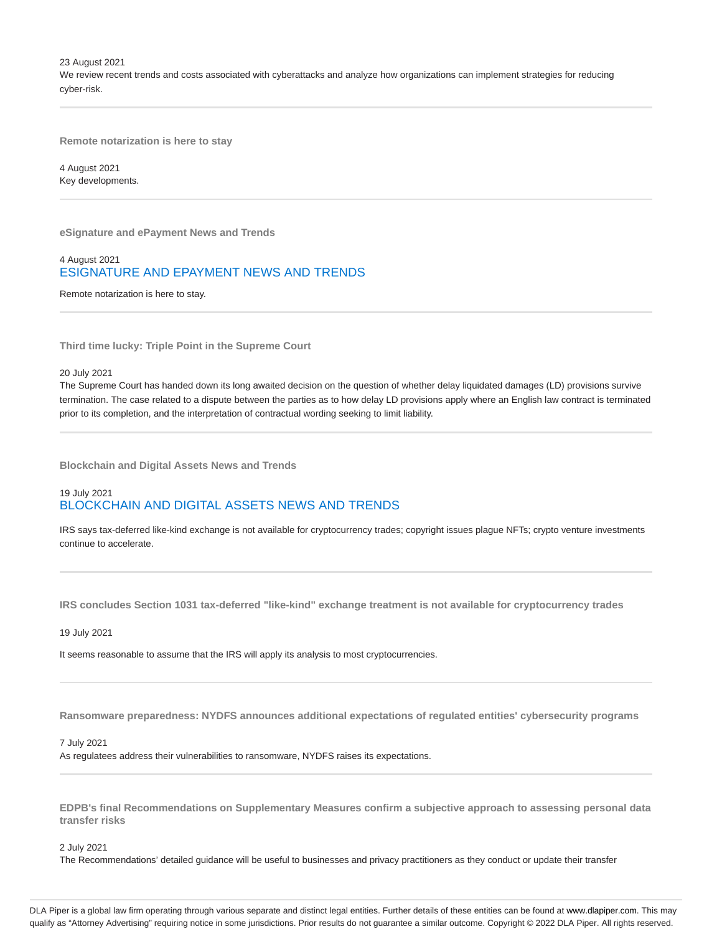23 August 2021

We review recent trends and costs associated with cyberattacks and analyze how organizations can implement strategies for reducing cyber-risk.

**Remote notarization is here to stay**

4 August 2021 Key developments.

**eSignature and ePayment News and Trends**

## 4 August 2021 ESIGNATURE AND EPAYMENT NEWS AND TRENDS

Remote notarization is here to stay.

**Third time lucky: Triple Point in the Supreme Court**

20 July 2021

The Supreme Court has handed down its long awaited decision on the question of whether delay liquidated damages (LD) provisions survive termination. The case related to a dispute between the parties as to how delay LD provisions apply where an English law contract is terminated prior to its completion, and the interpretation of contractual wording seeking to limit liability.

**Blockchain and Digital Assets News and Trends**

# 19 July 2021 BLOCKCHAIN AND DIGITAL ASSETS NEWS AND TRENDS

IRS says tax-deferred like-kind exchange is not available for cryptocurrency trades; copyright issues plague NFTs; crypto venture investments continue to accelerate.

**IRS concludes Section 1031 tax-deferred "like-kind" exchange treatment is not available for cryptocurrency trades**

19 July 2021

It seems reasonable to assume that the IRS will apply its analysis to most cryptocurrencies.

**Ransomware preparedness: NYDFS announces additional expectations of regulated entities' cybersecurity programs**

#### 7 July 2021

As regulatees address their vulnerabilities to ransomware, NYDFS raises its expectations.

**EDPB's final Recommendations on Supplementary Measures confirm a subjective approach to assessing personal data transfer risks**

2 July 2021

The Recommendations' detailed guidance will be useful to businesses and privacy practitioners as they conduct or update their transfer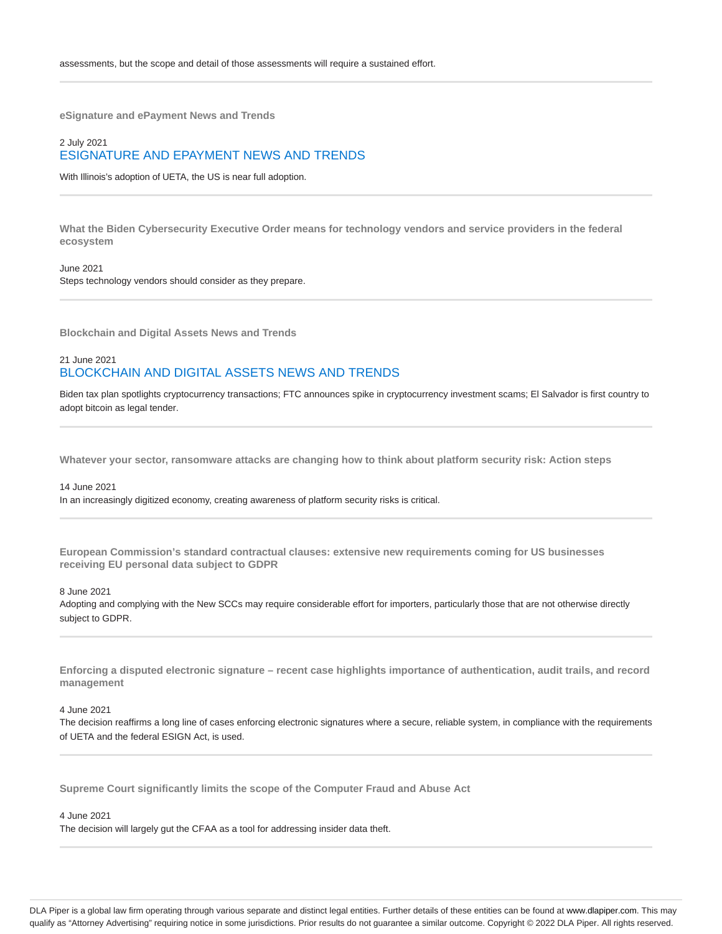**eSignature and ePayment News and Trends**

# 2 July 2021 ESIGNATURE AND EPAYMENT NEWS AND TRENDS

With Illinois's adoption of UETA, the US is near full adoption.

**What the Biden Cybersecurity Executive Order means for technology vendors and service providers in the federal ecosystem**

#### June 2021

Steps technology vendors should consider as they prepare.

**Blockchain and Digital Assets News and Trends**

## 21 June 2021 BLOCKCHAIN AND DIGITAL ASSETS NEWS AND TRENDS

Biden tax plan spotlights cryptocurrency transactions; FTC announces spike in cryptocurrency investment scams; El Salvador is first country to adopt bitcoin as legal tender.

**Whatever your sector, ransomware attacks are changing how to think about platform security risk: Action steps**

#### 14 June 2021

In an increasingly digitized economy, creating awareness of platform security risks is critical.

**European Commission's standard contractual clauses: extensive new requirements coming for US businesses receiving EU personal data subject to GDPR**

#### 8 June 2021

Adopting and complying with the New SCCs may require considerable effort for importers, particularly those that are not otherwise directly subject to GDPR.

**Enforcing a disputed electronic signature – recent case highlights importance of authentication, audit trails, and record management**

### 4 June 2021

The decision reaffirms a long line of cases enforcing electronic signatures where a secure, reliable system, in compliance with the requirements of UETA and the federal ESIGN Act, is used.

**Supreme Court significantly limits the scope of the Computer Fraud and Abuse Act**

## 4 June 2021

The decision will largely gut the CFAA as a tool for addressing insider data theft.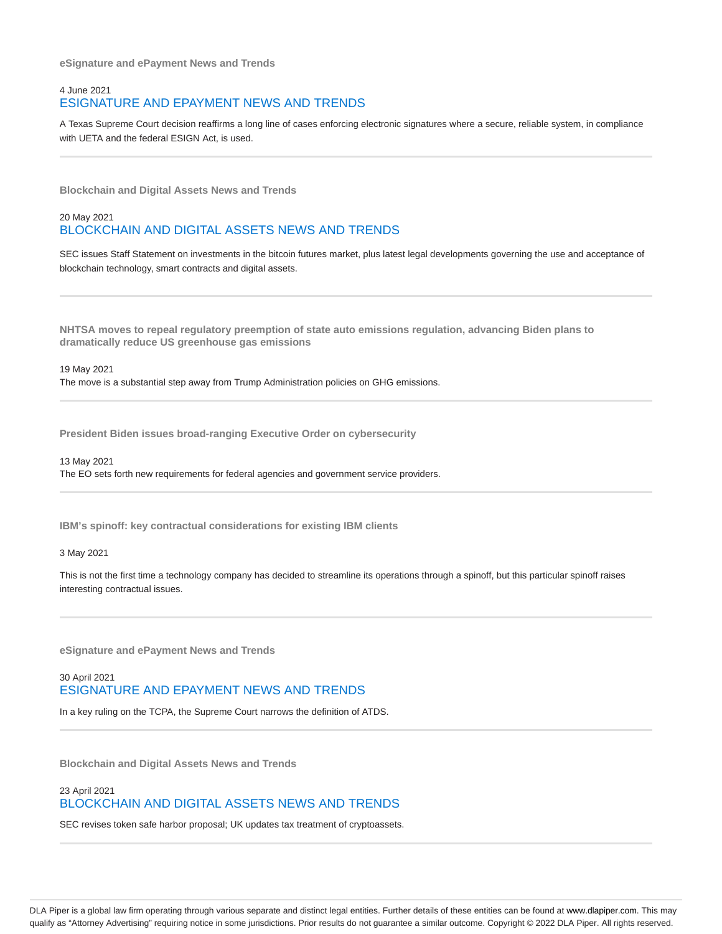**eSignature and ePayment News and Trends**

## 4 June 2021 ESIGNATURE AND EPAYMENT NEWS AND TRENDS

A Texas Supreme Court decision reaffirms a long line of cases enforcing electronic signatures where a secure, reliable system, in compliance with UETA and the federal ESIGN Act, is used.

**Blockchain and Digital Assets News and Trends**

# 20 May 2021 BLOCKCHAIN AND DIGITAL ASSETS NEWS AND TRENDS

SEC issues Staff Statement on investments in the bitcoin futures market, plus latest legal developments governing the use and acceptance of blockchain technology, smart contracts and digital assets.

**NHTSA moves to repeal regulatory preemption of state auto emissions regulation, advancing Biden plans to dramatically reduce US greenhouse gas emissions**

19 May 2021 The move is a substantial step away from Trump Administration policies on GHG emissions.

**President Biden issues broad-ranging Executive Order on cybersecurity**

13 May 2021 The EO sets forth new requirements for federal agencies and government service providers.

**IBM's spinoff: key contractual considerations for existing IBM clients**

3 May 2021

This is not the first time a technology company has decided to streamline its operations through a spinoff, but this particular spinoff raises interesting contractual issues.

**eSignature and ePayment News and Trends**

# 30 April 2021 ESIGNATURE AND EPAYMENT NEWS AND TRENDS

In a key ruling on the TCPA, the Supreme Court narrows the definition of ATDS.

**Blockchain and Digital Assets News and Trends**

# 23 April 2021 BLOCKCHAIN AND DIGITAL ASSETS NEWS AND TRENDS

SEC revises token safe harbor proposal; UK updates tax treatment of cryptoassets.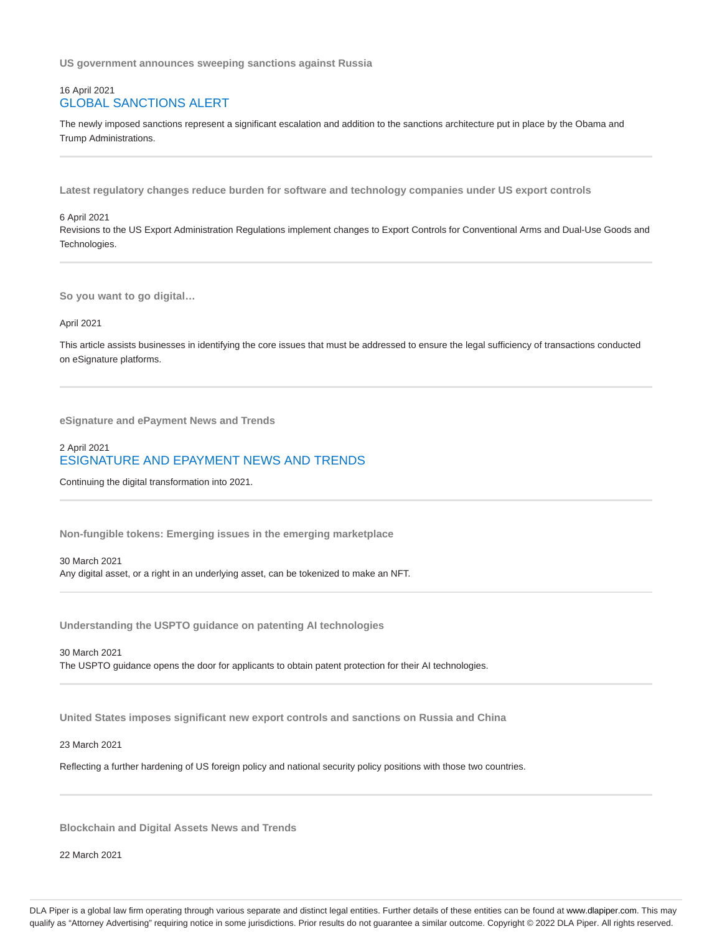**US government announces sweeping sanctions against Russia**

## 16 April 2021 GLOBAL SANCTIONS ALERT

The newly imposed sanctions represent a significant escalation and addition to the sanctions architecture put in place by the Obama and Trump Administrations.

**Latest regulatory changes reduce burden for software and technology companies under US export controls**

#### 6 April 2021

Revisions to the US Export Administration Regulations implement changes to Export Controls for Conventional Arms and Dual-Use Goods and Technologies.

**So you want to go digital…**

#### April 2021

This article assists businesses in identifying the core issues that must be addressed to ensure the legal sufficiency of transactions conducted on eSignature platforms.

**eSignature and ePayment News and Trends**

# 2 April 2021 ESIGNATURE AND EPAYMENT NEWS AND TRENDS

Continuing the digital transformation into 2021.

**Non-fungible tokens: Emerging issues in the emerging marketplace**

30 March 2021 Any digital asset, or a right in an underlying asset, can be tokenized to make an NFT.

**Understanding the USPTO guidance on patenting AI technologies**

30 March 2021 The USPTO guidance opens the door for applicants to obtain patent protection for their AI technologies.

**United States imposes significant new export controls and sanctions on Russia and China**

#### 23 March 2021

Reflecting a further hardening of US foreign policy and national security policy positions with those two countries.

**Blockchain and Digital Assets News and Trends**

22 March 2021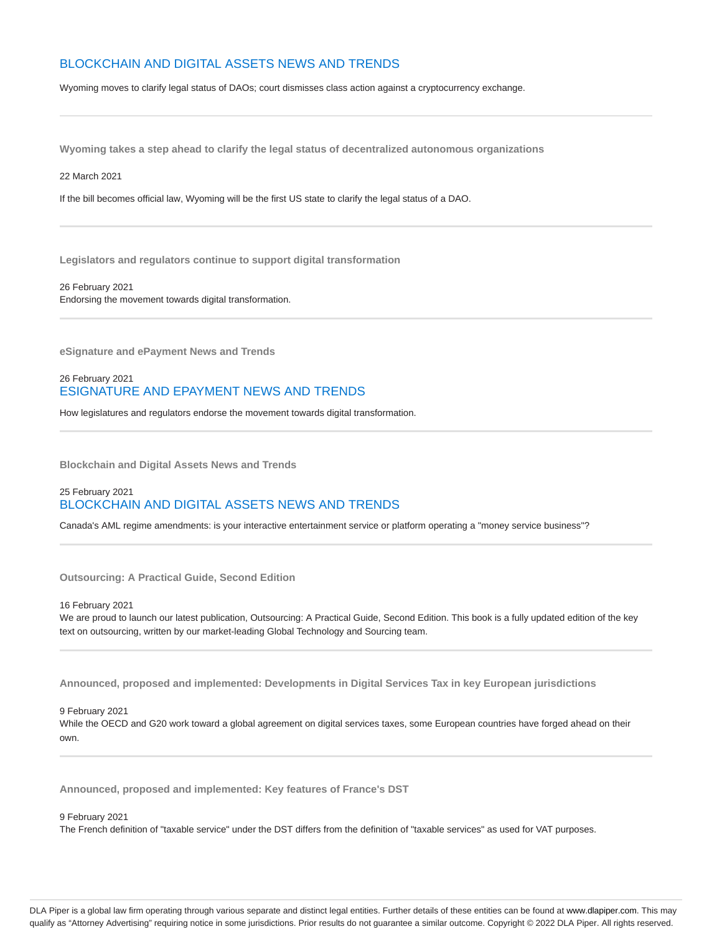# BLOCKCHAIN AND DIGITAL ASSETS NEWS AND TRENDS

Wyoming moves to clarify legal status of DAOs; court dismisses class action against a cryptocurrency exchange.

**Wyoming takes a step ahead to clarify the legal status of decentralized autonomous organizations**

22 March 2021

If the bill becomes official law, Wyoming will be the first US state to clarify the legal status of a DAO.

**Legislators and regulators continue to support digital transformation**

26 February 2021 Endorsing the movement towards digital transformation.

**eSignature and ePayment News and Trends**

# 26 February 2021 ESIGNATURE AND EPAYMENT NEWS AND TRENDS

How legislatures and regulators endorse the movement towards digital transformation.

**Blockchain and Digital Assets News and Trends**

## 25 February 2021 BLOCKCHAIN AND DIGITAL ASSETS NEWS AND TRENDS

Canada's AML regime amendments: is your interactive entertainment service or platform operating a "money service business"?

**Outsourcing: A Practical Guide, Second Edition**

16 February 2021

We are proud to launch our latest publication, Outsourcing: A Practical Guide, Second Edition. This book is a fully updated edition of the key text on outsourcing, written by our market-leading Global Technology and Sourcing team.

**Announced, proposed and implemented: Developments in Digital Services Tax in key European jurisdictions**

9 February 2021

While the OECD and G20 work toward a global agreement on digital services taxes, some European countries have forged ahead on their own.

**Announced, proposed and implemented: Key features of France's DST**

9 February 2021

The French definition of "taxable service" under the DST differs from the definition of "taxable services" as used for VAT purposes.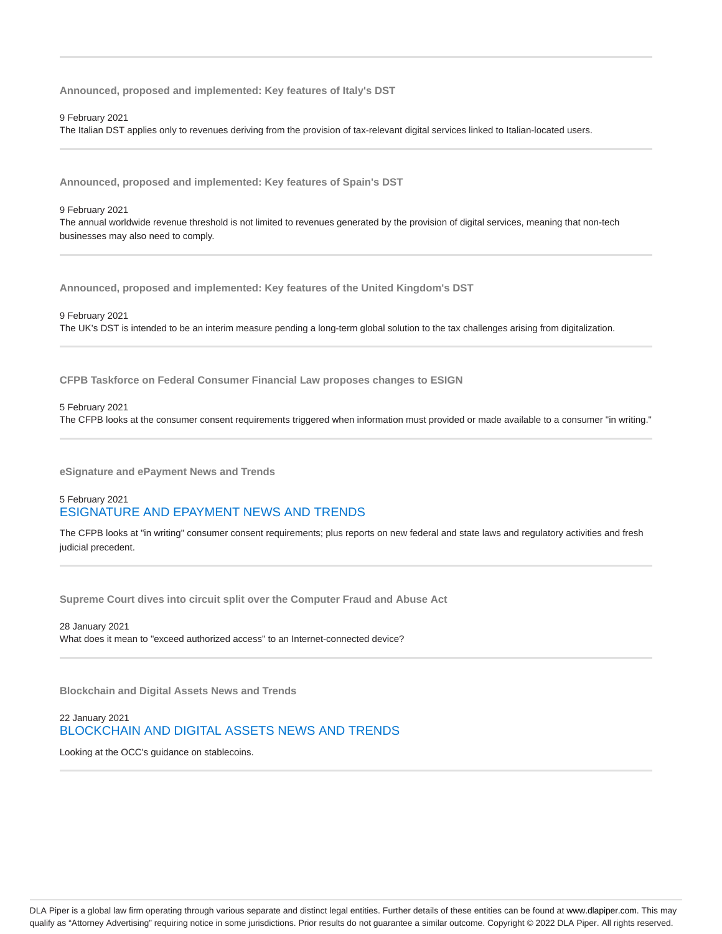**Announced, proposed and implemented: Key features of Italy's DST**

9 February 2021

The Italian DST applies only to revenues deriving from the provision of tax-relevant digital services linked to Italian-located users.

**Announced, proposed and implemented: Key features of Spain's DST**

#### 9 February 2021

The annual worldwide revenue threshold is not limited to revenues generated by the provision of digital services, meaning that non-tech businesses may also need to comply.

**Announced, proposed and implemented: Key features of the United Kingdom's DST**

## 9 February 2021 The UK's DST is intended to be an interim measure pending a long-term global solution to the tax challenges arising from digitalization.

**CFPB Taskforce on Federal Consumer Financial Law proposes changes to ESIGN**

5 February 2021

The CFPB looks at the consumer consent requirements triggered when information must provided or made available to a consumer "in writing."

**eSignature and ePayment News and Trends**

# 5 February 2021 ESIGNATURE AND EPAYMENT NEWS AND TRENDS

The CFPB looks at "in writing" consumer consent requirements; plus reports on new federal and state laws and regulatory activities and fresh judicial precedent.

**Supreme Court dives into circuit split over the Computer Fraud and Abuse Act**

28 January 2021 What does it mean to "exceed authorized access" to an Internet-connected device?

**Blockchain and Digital Assets News and Trends**

22 January 2021 BLOCKCHAIN AND DIGITAL ASSETS NEWS AND TRENDS

Looking at the OCC's guidance on stablecoins.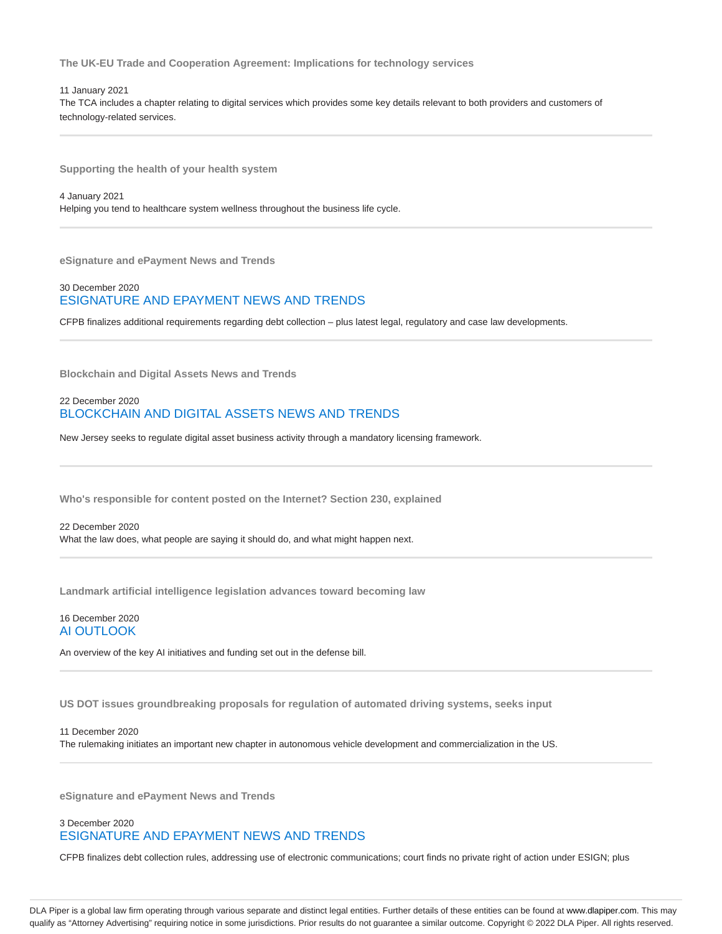**The UK-EU Trade and Cooperation Agreement: Implications for technology services**

11 January 2021 The TCA includes a chapter relating to digital services which provides some key details relevant to both providers and customers of technology-related services.

**Supporting the health of your health system**

4 January 2021 Helping you tend to healthcare system wellness throughout the business life cycle.

**eSignature and ePayment News and Trends**

# 30 December 2020 ESIGNATURE AND EPAYMENT NEWS AND TRENDS

CFPB finalizes additional requirements regarding debt collection – plus latest legal, regulatory and case law developments.

**Blockchain and Digital Assets News and Trends**

## 22 December 2020 BLOCKCHAIN AND DIGITAL ASSETS NEWS AND TRENDS

New Jersey seeks to regulate digital asset business activity through a mandatory licensing framework.

**Who's responsible for content posted on the Internet? Section 230, explained**

22 December 2020 What the law does, what people are saying it should do, and what might happen next.

**Landmark artificial intelligence legislation advances toward becoming law**

## 16 December 2020 AI OUTLOOK

An overview of the key AI initiatives and funding set out in the defense bill.

**US DOT issues groundbreaking proposals for regulation of automated driving systems, seeks input**

11 December 2020 The rulemaking initiates an important new chapter in autonomous vehicle development and commercialization in the US.

**eSignature and ePayment News and Trends**

# 3 December 2020 ESIGNATURE AND EPAYMENT NEWS AND TRENDS

CFPB finalizes debt collection rules, addressing use of electronic communications; court finds no private right of action under ESIGN; plus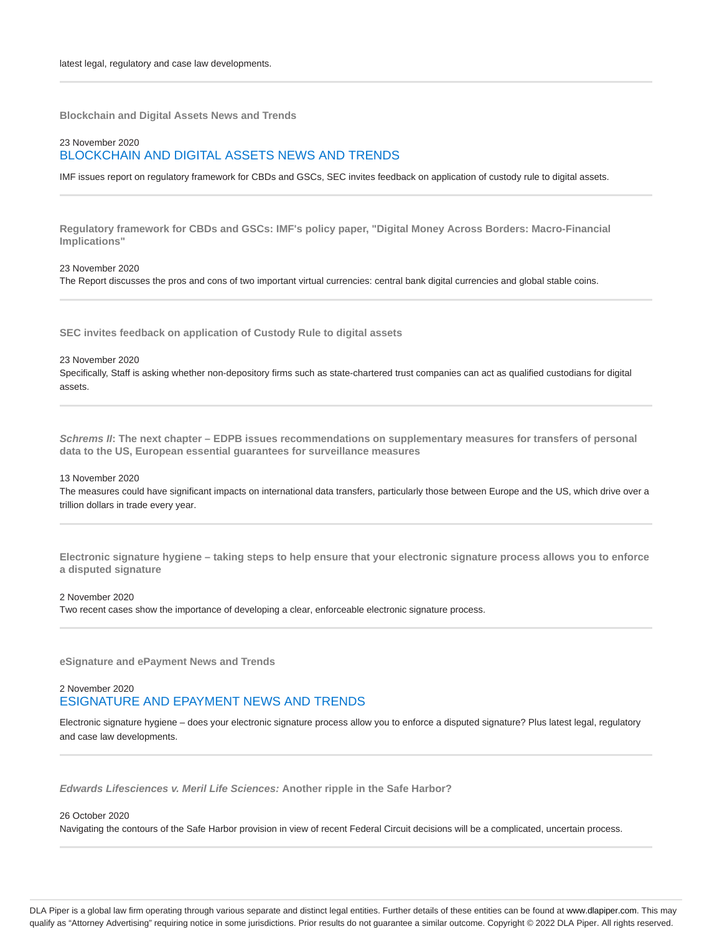**Blockchain and Digital Assets News and Trends**

# 23 November 2020 BLOCKCHAIN AND DIGITAL ASSETS NEWS AND TRENDS

IMF issues report on regulatory framework for CBDs and GSCs, SEC invites feedback on application of custody rule to digital assets.

**Regulatory framework for CBDs and GSCs: IMF's policy paper, "Digital Money Across Borders: Macro-Financial Implications"**

#### 23 November 2020

The Report discusses the pros and cons of two important virtual currencies: central bank digital currencies and global stable coins.

**SEC invites feedback on application of Custody Rule to digital assets**

#### 23 November 2020

Specifically, Staff is asking whether non-depository firms such as state-chartered trust companies can act as qualified custodians for digital assets.

**Schrems II: The next chapter – EDPB issues recommendations on supplementary measures for transfers of personal data to the US, European essential guarantees for surveillance measures**

#### 13 November 2020

The measures could have significant impacts on international data transfers, particularly those between Europe and the US, which drive over a trillion dollars in trade every year.

**Electronic signature hygiene – taking steps to help ensure that your electronic signature process allows you to enforce a disputed signature**

#### 2 November 2020

Two recent cases show the importance of developing a clear, enforceable electronic signature process.

**eSignature and ePayment News and Trends**

## 2 November 2020 ESIGNATURE AND EPAYMENT NEWS AND TRENDS

Electronic signature hygiene – does your electronic signature process allow you to enforce a disputed signature? Plus latest legal, regulatory and case law developments.

**Edwards Lifesciences v. Meril Life Sciences: Another ripple in the Safe Harbor?**

#### 26 October 2020

Navigating the contours of the Safe Harbor provision in view of recent Federal Circuit decisions will be a complicated, uncertain process.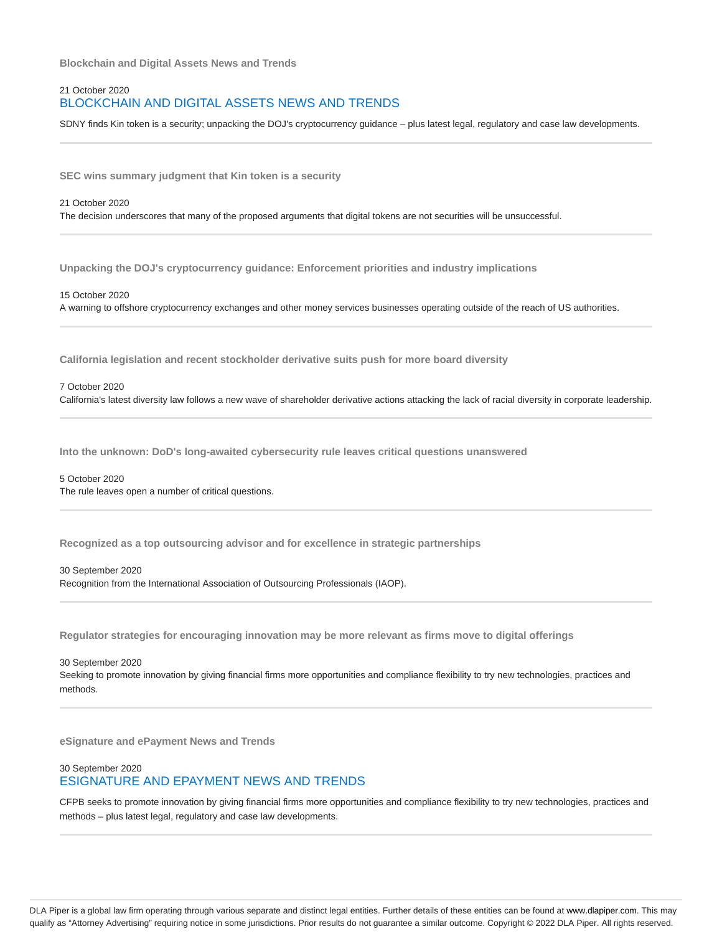**Blockchain and Digital Assets News and Trends**

## 21 October 2020 BLOCKCHAIN AND DIGITAL ASSETS NEWS AND TRENDS

SDNY finds Kin token is a security; unpacking the DOJ's cryptocurrency guidance – plus latest legal, regulatory and case law developments.

**SEC wins summary judgment that Kin token is a security**

#### 21 October 2020

The decision underscores that many of the proposed arguments that digital tokens are not securities will be unsuccessful.

**Unpacking the DOJ's cryptocurrency guidance: Enforcement priorities and industry implications**

15 October 2020

A warning to offshore cryptocurrency exchanges and other money services businesses operating outside of the reach of US authorities.

**California legislation and recent stockholder derivative suits push for more board diversity**

#### 7 October 2020

California's latest diversity law follows a new wave of shareholder derivative actions attacking the lack of racial diversity in corporate leadership.

**Into the unknown: DoD's long-awaited cybersecurity rule leaves critical questions unanswered**

## 5 October 2020

The rule leaves open a number of critical questions.

**Recognized as a top outsourcing advisor and for excellence in strategic partnerships**

#### 30 September 2020

Recognition from the International Association of Outsourcing Professionals (IAOP).

**Regulator strategies for encouraging innovation may be more relevant as firms move to digital offerings**

30 September 2020

Seeking to promote innovation by giving financial firms more opportunities and compliance flexibility to try new technologies, practices and methods.

**eSignature and ePayment News and Trends**

## 30 September 2020 ESIGNATURE AND EPAYMENT NEWS AND TRENDS

CFPB seeks to promote innovation by giving financial firms more opportunities and compliance flexibility to try new technologies, practices and methods – plus latest legal, regulatory and case law developments.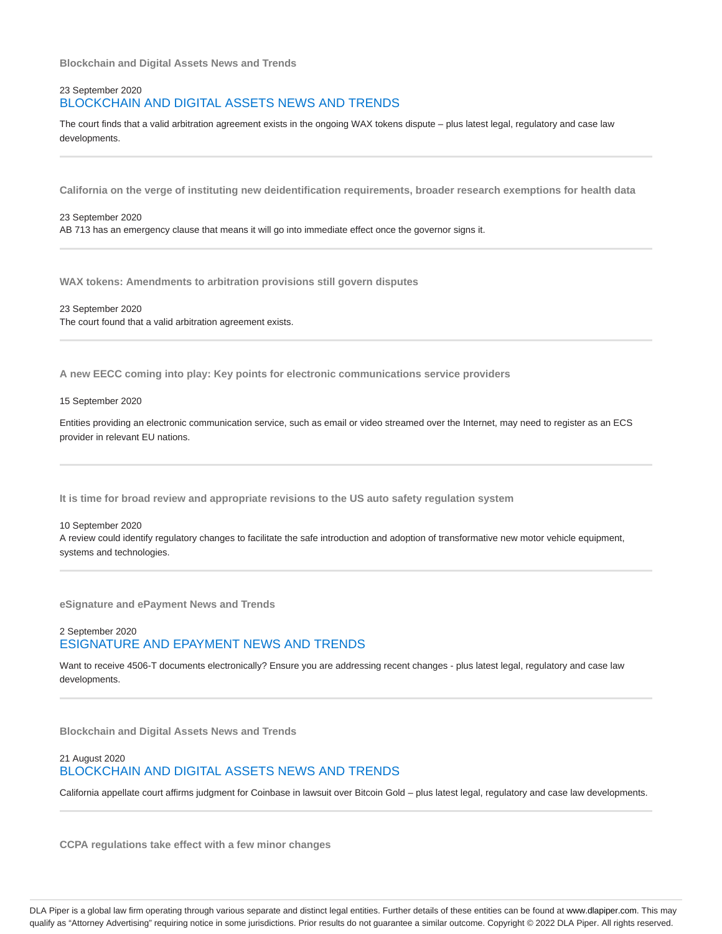**Blockchain and Digital Assets News and Trends**

## 23 September 2020 BLOCKCHAIN AND DIGITAL ASSETS NEWS AND TRENDS

The court finds that a valid arbitration agreement exists in the ongoing WAX tokens dispute – plus latest legal, regulatory and case law developments.

**California on the verge of instituting new deidentification requirements, broader research exemptions for health data**

#### 23 September 2020

AB 713 has an emergency clause that means it will go into immediate effect once the governor signs it.

**WAX tokens: Amendments to arbitration provisions still govern disputes**

23 September 2020 The court found that a valid arbitration agreement exists.

**A new EECC coming into play: Key points for electronic communications service providers**

#### 15 September 2020

Entities providing an electronic communication service, such as email or video streamed over the Internet, may need to register as an ECS provider in relevant EU nations.

**It is time for broad review and appropriate revisions to the US auto safety regulation system**

#### 10 September 2020

A review could identify regulatory changes to facilitate the safe introduction and adoption of transformative new motor vehicle equipment, systems and technologies.

**eSignature and ePayment News and Trends**

## 2 September 2020 ESIGNATURE AND EPAYMENT NEWS AND TRENDS

Want to receive 4506-T documents electronically? Ensure you are addressing recent changes - plus latest legal, regulatory and case law developments.

**Blockchain and Digital Assets News and Trends**

## 21 August 2020 BLOCKCHAIN AND DIGITAL ASSETS NEWS AND TRENDS

California appellate court affirms judgment for Coinbase in lawsuit over Bitcoin Gold – plus latest legal, regulatory and case law developments.

**CCPA regulations take effect with a few minor changes**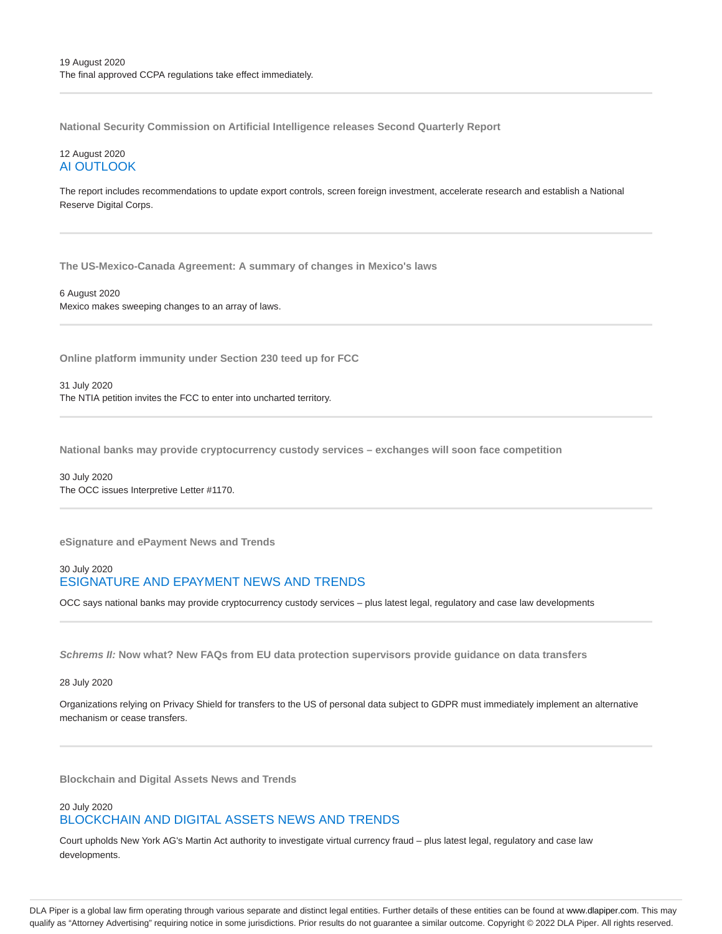**National Security Commission on Artificial Intelligence releases Second Quarterly Report**

## 12 August 2020 AI OUTLOOK

The report includes recommendations to update export controls, screen foreign investment, accelerate research and establish a National Reserve Digital Corps.

**The US-Mexico-Canada Agreement: A summary of changes in Mexico's laws**

6 August 2020 Mexico makes sweeping changes to an array of laws.

**Online platform immunity under Section 230 teed up for FCC**

31 July 2020 The NTIA petition invites the FCC to enter into uncharted territory.

**National banks may provide cryptocurrency custody services – exchanges will soon face competition**

30 July 2020 The OCC issues Interpretive Letter #1170.

**eSignature and ePayment News and Trends**

## 30 July 2020 ESIGNATURE AND EPAYMENT NEWS AND TRENDS

OCC says national banks may provide cryptocurrency custody services – plus latest legal, regulatory and case law developments

**Schrems II: Now what? New FAQs from EU data protection supervisors provide guidance on data transfers**

28 July 2020

Organizations relying on Privacy Shield for transfers to the US of personal data subject to GDPR must immediately implement an alternative mechanism or cease transfers.

**Blockchain and Digital Assets News and Trends**

## 20 July 2020 BLOCKCHAIN AND DIGITAL ASSETS NEWS AND TRENDS

Court upholds New York AG's Martin Act authority to investigate virtual currency fraud – plus latest legal, regulatory and case law developments.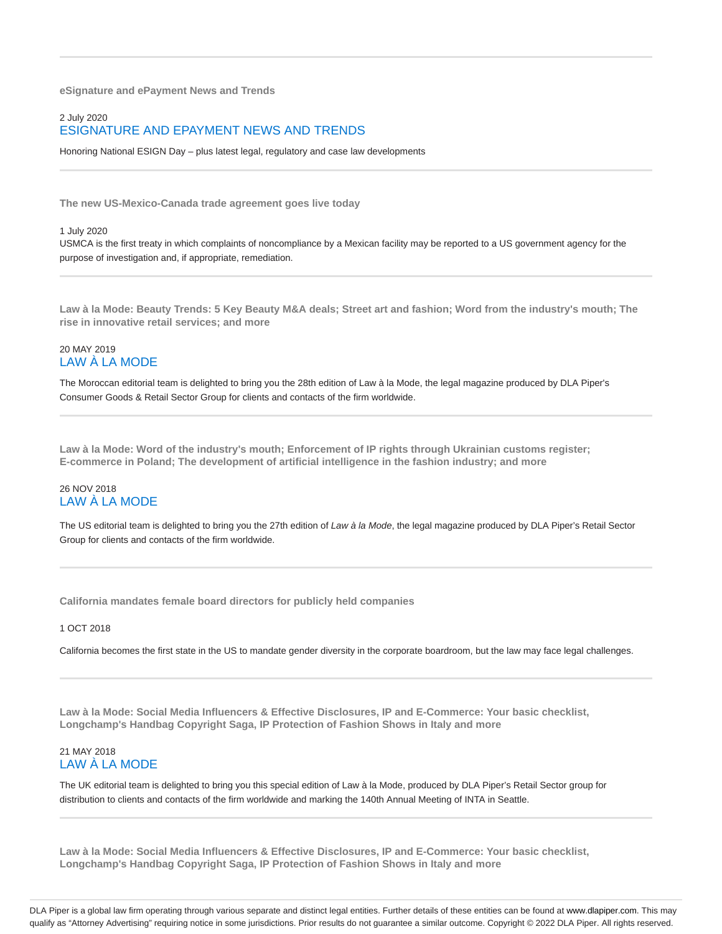**eSignature and ePayment News and Trends**

# 2 July 2020 ESIGNATURE AND EPAYMENT NEWS AND TRENDS

Honoring National ESIGN Day – plus latest legal, regulatory and case law developments

**The new US-Mexico-Canada trade agreement goes live today**

#### 1 July 2020

USMCA is the first treaty in which complaints of noncompliance by a Mexican facility may be reported to a US government agency for the purpose of investigation and, if appropriate, remediation.

**Law à la Mode: Beauty Trends: 5 Key Beauty M&A deals; Street art and fashion; Word from the industry's mouth; The rise in innovative retail services; and more**

## 20 MAY 2019 LAW À LA MODE

The Moroccan editorial team is delighted to bring you the 28th edition of Law à la Mode, the legal magazine produced by DLA Piper's Consumer Goods & Retail Sector Group for clients and contacts of the firm worldwide.

**Law à la Mode: Word of the industry's mouth; Enforcement of IP rights through Ukrainian customs register; E-commerce in Poland; The development of artificial intelligence in the fashion industry; and more**

## 26 NOV 2018 LAW À LA MODE

The US editorial team is delighted to bring you the 27th edition of Law à la Mode, the legal magazine produced by DLA Piper's Retail Sector Group for clients and contacts of the firm worldwide.

**California mandates female board directors for publicly held companies**

1 OCT 2018

California becomes the first state in the US to mandate gender diversity in the corporate boardroom, but the law may face legal challenges.

**Law à la Mode: Social Media Influencers & Effective Disclosures, IP and E-Commerce: Your basic checklist, Longchamp's Handbag Copyright Saga, IP Protection of Fashion Shows in Italy and more**

# 21 MAY 2018 LAW À LA MODE

The UK editorial team is delighted to bring you this special edition of Law à la Mode, produced by DLA Piper's Retail Sector group for distribution to clients and contacts of the firm worldwide and marking the 140th Annual Meeting of INTA in Seattle.

**Law à la Mode: Social Media Influencers & Effective Disclosures, IP and E-Commerce: Your basic checklist, Longchamp's Handbag Copyright Saga, IP Protection of Fashion Shows in Italy and more**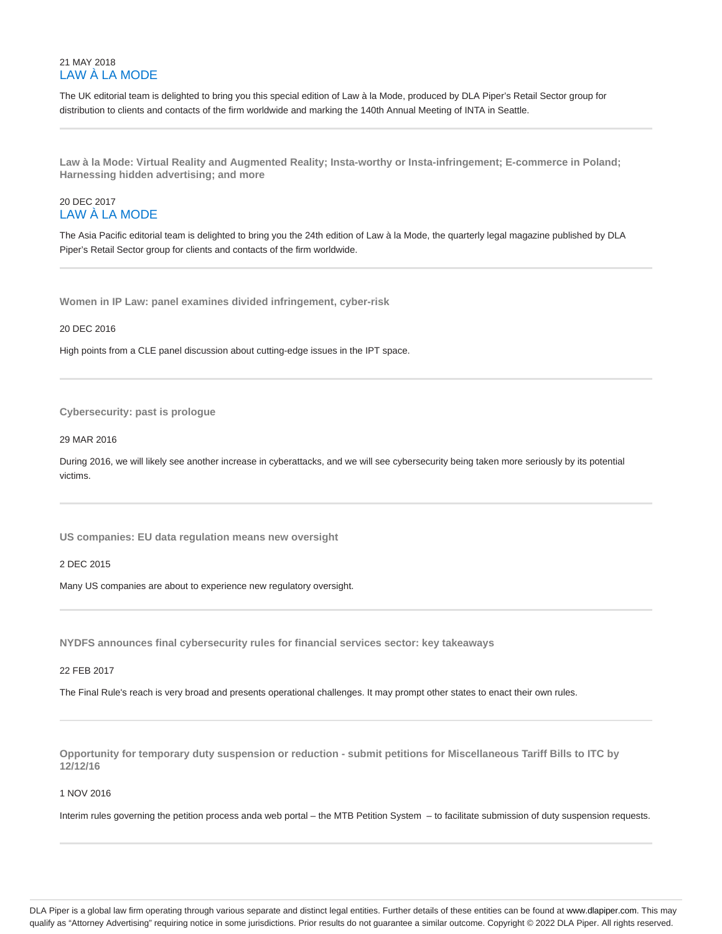## 21 MAY 2018 LAW À LA MODE

The UK editorial team is delighted to bring you this special edition of Law à la Mode, produced by DLA Piper's Retail Sector group for distribution to clients and contacts of the firm worldwide and marking the 140th Annual Meeting of INTA in Seattle.

**Law à la Mode: Virtual Reality and Augmented Reality; Insta-worthy or Insta-infringement; E-commerce in Poland; Harnessing hidden advertising; and more**

# 20 DEC 2017 LAW À LA MODE

The Asia Pacific editorial team is delighted to bring you the 24th edition of Law à la Mode, the quarterly legal magazine published by DLA Piper's Retail Sector group for clients and contacts of the firm worldwide.

**Women in IP Law: panel examines divided infringement, cyber-risk**

## 20 DEC 2016

High points from a CLE panel discussion about cutting-edge issues in the IPT space.

#### **Cybersecurity: past is prologue**

## 29 MAR 2016

During 2016, we will likely see another increase in cyberattacks, and we will see cybersecurity being taken more seriously by its potential victims.

**US companies: EU data regulation means new oversight**

2 DEC 2015

Many US companies are about to experience new regulatory oversight.

**NYDFS announces final cybersecurity rules for financial services sector: key takeaways**

#### 22 FEB 2017

The Final Rule's reach is very broad and presents operational challenges. It may prompt other states to enact their own rules.

**Opportunity for temporary duty suspension or reduction - submit petitions for Miscellaneous Tariff Bills to ITC by 12/12/16**

#### 1 NOV 2016

Interim rules governing the petition process anda web portal – the MTB Petition System – to facilitate submission of duty suspension requests.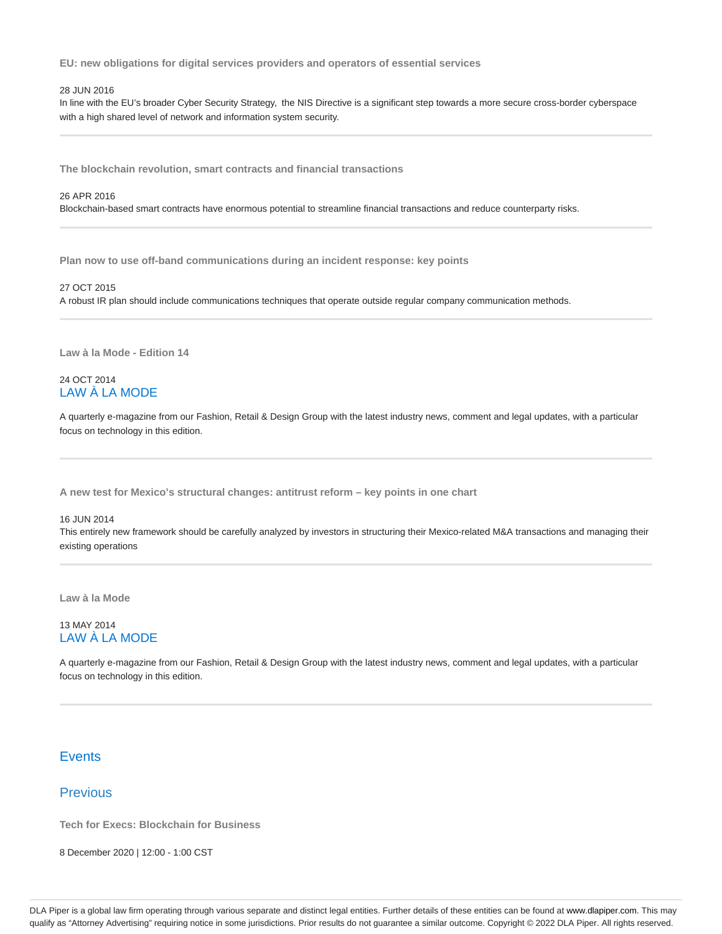**EU: new obligations for digital services providers and operators of essential services**

#### 28 JUN 2016

In line with the EU's broader Cyber Security Strategy, the NIS Directive is a significant step towards a more secure cross-border cyberspace with a high shared level of network and information system security.

**The blockchain revolution, smart contracts and financial transactions**

#### 26 APR 2016

Blockchain-based smart contracts have enormous potential to streamline financial transactions and reduce counterparty risks.

**Plan now to use off-band communications during an incident response: key points**

## 27 OCT 2015

A robust IR plan should include communications techniques that operate outside regular company communication methods.

**Law à la Mode - Edition 14**

# 24 OCT 2014 LAW À LA MODE

A quarterly e-magazine from our Fashion, Retail & Design Group with the latest industry news, comment and legal updates, with a particular focus on technology in this edition.

**A new test for Mexico's structural changes: antitrust reform – key points in one chart**

#### 16 JUN 2014

This entirely new framework should be carefully analyzed by investors in structuring their Mexico-related M&A transactions and managing their existing operations

**Law à la Mode**

## 13 MAY 2014 LAW À LA MODE

A quarterly e-magazine from our Fashion, Retail & Design Group with the latest industry news, comment and legal updates, with a particular focus on technology in this edition.

## **Events**

# Previous

**Tech for Execs: Blockchain for Business**

8 December 2020 | 12:00 - 1:00 CST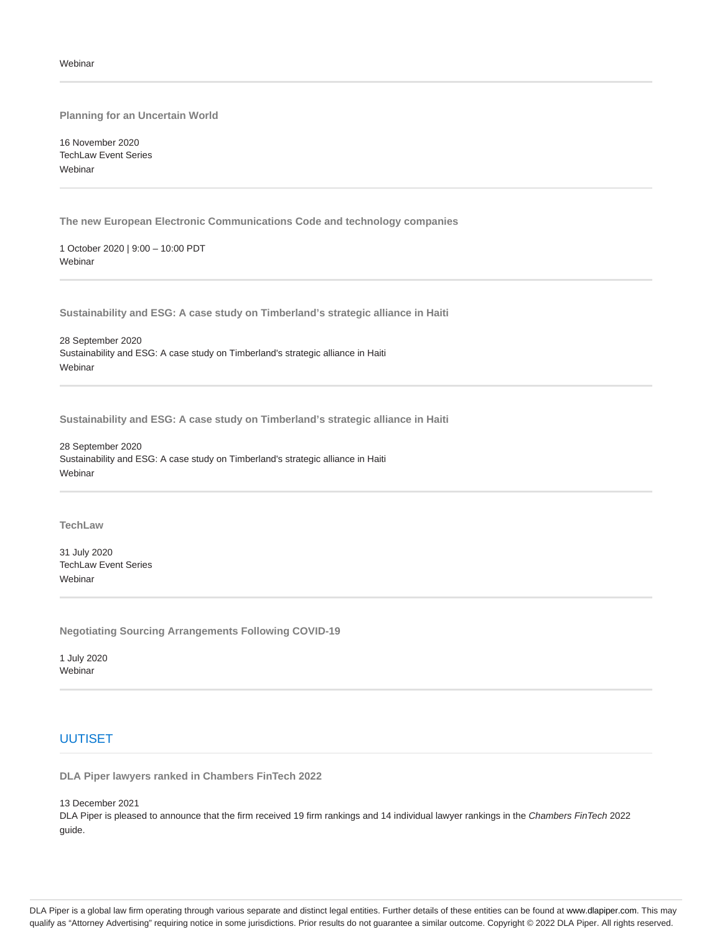**Planning for an Uncertain World**

16 November 2020 TechLaw Event Series Webinar

**The new European Electronic Communications Code and technology companies**

1 October 2020 | 9:00 – 10:00 PDT Webinar

**Sustainability and ESG: A case study on Timberland's strategic alliance in Haiti**

28 September 2020 Sustainability and ESG: A case study on Timberland's strategic alliance in Haiti Webinar

**Sustainability and ESG: A case study on Timberland's strategic alliance in Haiti**

28 September 2020 Sustainability and ESG: A case study on Timberland's strategic alliance in Haiti Webinar

#### **TechLaw**

31 July 2020 TechLaw Event Series Webinar

**Negotiating Sourcing Arrangements Following COVID-19**

1 July 2020 Webinar

# UUTISET

**DLA Piper lawyers ranked in Chambers FinTech 2022**

13 December 2021

DLA Piper is pleased to announce that the firm received 19 firm rankings and 14 individual lawyer rankings in the Chambers FinTech 2022 guide.